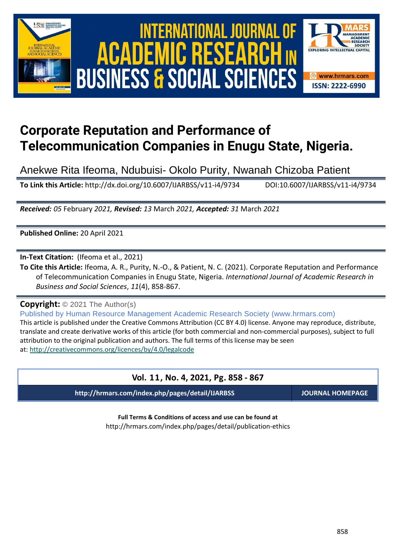

# International Journal of Academic Research in Business and Social Sciences **Vol. 1 1 , No. 4, 2021, E-ISSN: 2222-6990 © 2021 HRMARS ACADEMIC BUSINESS & SOCIAL SCIENCES**



# **Corporate Reputation and Performance of Telecommunication Companies in Enugu State, Nigeria.**

Anekwe Rita Ifeoma, Ndubuisi- Okolo Purity, Nwanah Chizoba Patient

**To Link this Article:** http://dx.doi.org/10.6007/IJARBSS/v11-i4/9734 DOI:10.6007/IJARBSS/v11-i4/9734

*Received: 05* February *2021, Revised: 13* March *2021, Accepted: 31* March *2021*

**Published Online:** 20 April 2021

**In-Text Citation:** (Ifeoma et al., 2021)

**To Cite this Article:** Ifeoma, A. R., Purity, N.-O., & Patient, N. C. (2021). Corporate Reputation and Performance of Telecommunication Companies in Enugu State, Nigeria. *International Journal of Academic Research in Business and Social Sciences*, *11*(4), 858-867.

**Copyright:** © 2021 The Author(s)

Published by Human Resource Management Academic Research Society (www.hrmars.com)

This article is published under the Creative Commons Attribution (CC BY 4.0) license. Anyone may reproduce, distribute, translate and create derivative works of this article (for both commercial and non-commercial purposes), subject to full attribution to the original publication and authors. The full terms of this license may be seen at: <http://creativecommons.org/licences/by/4.0/legalcode>

# **Vol. 11, No. 4, 2021, Pg. 858 - 867**

**http://hrmars.com/index.php/pages/detail/IJARBSS JOURNAL HOMEPAGE**

**Full Terms & Conditions of access and use can be found at** http://hrmars.com/index.php/pages/detail/publication-ethics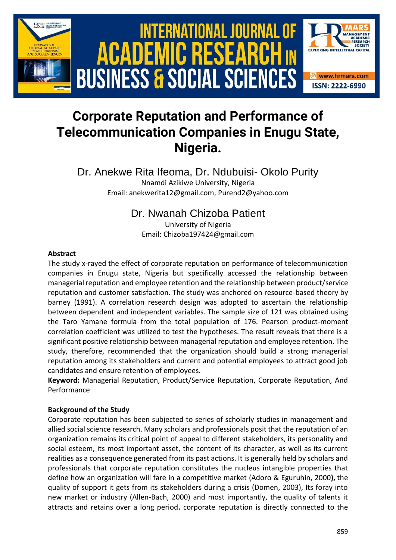

# **Corporate Reputation and Performance of Telecommunication Companies in Enugu State, Nigeria.**

Dr. Anekwe Rita Ifeoma, Dr. Ndubuisi- Okolo Purity Nnamdi Azikiwe University, Nigeria Email: anekwerita12@gmail.com, Purend2@yahoo.com

# Dr. Nwanah Chizoba Patient

University of Nigeria Email: Chizoba197424@gmail.com

#### **Abstract**

The study x-rayed the effect of corporate reputation on performance of telecommunication companies in Enugu state, Nigeria but specifically accessed the relationship between managerial reputation and employee retention and the relationship between product/service reputation and customer satisfaction. The study was anchored on resource-based theory by barney (1991). A correlation research design was adopted to ascertain the relationship between dependent and independent variables. The sample size of 121 was obtained using the Taro Yamane formula from the total population of 176. Pearson product-moment correlation coefficient was utilized to test the hypotheses. The result reveals that there is a significant positive relationship between managerial reputation and employee retention. The study, therefore, recommended that the organization should build a strong managerial reputation among its stakeholders and current and potential employees to attract good job candidates and ensure retention of employees.

**Keyword:** Managerial Reputation, Product/Service Reputation, Corporate Reputation, And Performance

## **Background of the Study**

Corporate reputation has been subjected to series of scholarly studies in management and allied social science research. Many scholars and professionals posit that the reputation of an organization remains its critical point of appeal to different stakeholders, its personality and social esteem, its most important asset, the content of its character, as well as its current realities as a consequence generated from its past actions. It is generally held by scholars and professionals that corporate reputation constitutes the nucleus intangible properties that define how an organization will fare in a competitive market (Adoro & Eguruhin, 2000**),** the quality of support it gets from its stakeholders during a crisis (Domen, 2003), Its foray into new market or industry (Allen-Bach, 2000) and most importantly, the quality of talents it attracts and retains over a long period**.** corporate reputation is directly connected to the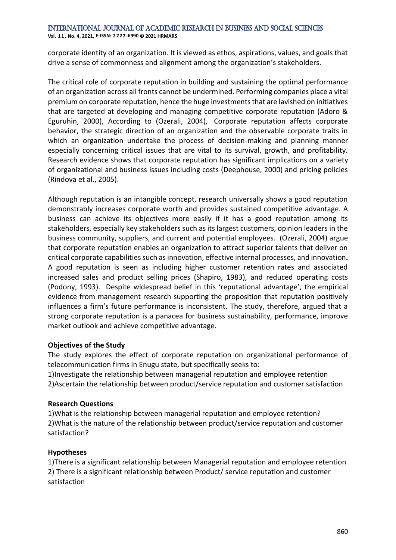**Vol. 1 1 , No. 4, 2021, E-ISSN: 2222-6990 © 2021 HRMARS**

corporate identity of an organization. It is viewed as ethos, aspirations, values, and goals that drive a sense of commonness and alignment among the organization's stakeholders.

The critical role of corporate reputation in building and sustaining the optimal performance of an organization across all fronts cannot be undermined. Performing companies place a vital premium on corporate reputation, hence the huge investments that are lavished on initiatives that are targeted at developing and managing competitive corporate reputation (Adoro & Eguruhin, 2000), According to (Ozerali, 2004), Corporate reputation affects corporate behavior, the strategic direction of an organization and the observable corporate traits in which an organization undertake the process of decision-making and planning manner especially concerning critical issues that are vital to its survival, growth, and profitability. Research evidence shows that corporate reputation has significant implications on a variety of organizational and business issues including costs (Deephouse, 2000) and pricing policies (Rindova et al., 2005).

Although reputation is an intangible concept, research universally shows a good reputation demonstrably increases corporate worth and provides sustained competitive advantage. A business can achieve its objectives more easily if it has a good reputation among its stakeholders, especially key stakeholders such as its largest customers, opinion leaders in the business community, suppliers, and current and potential employees. (Ozerali, 2004) argue that corporate reputation enables an organization to attract superior talents that deliver on critical corporate capabilities such as innovation, effective internal processes, and innovation**.** A good reputation is seen as including higher customer retention rates and associated increased sales and product selling prices (Shapiro, 1983), and reduced operating costs (Podony, 1993). Despite widespread belief in this 'reputational advantage', the empirical evidence from management research supporting the proposition that reputation positively influences a firm's future performance is inconsistent. The study, therefore, argued that a strong corporate reputation is a panacea for business sustainability, performance, improve market outlook and achieve competitive advantage.

## **Objectives of the Study**

The study explores the effect of corporate reputation on organizational performance of telecommunication firms in Enugu state, but specifically seeks to:

1)Investigate the relationship between managerial reputation and employee retention 2)Ascertain the relationship between product/service reputation and customer satisfaction

## **Research Questions**

1)What is the relationship between managerial reputation and employee retention? 2)What is the nature of the relationship between product/service reputation and customer satisfaction?

# **Hypotheses**

1)There is a significant relationship between Managerial reputation and employee retention 2) There is a significant relationship between Product/ service reputation and customer satisfaction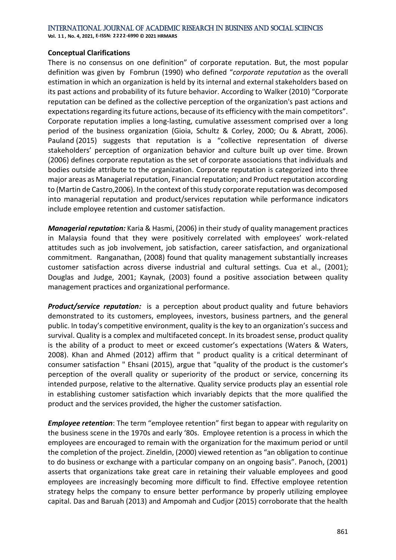#### International Journal of Academic Research in Business and Social Sciences **Vol. 1 1 , No. 4, 2021, E-ISSN: 2222-6990 © 2021 HRMARS**

## **Conceptual Clarifications**

There is no consensus on one definition" of corporate reputation. But, the most [popular](https://www.researchgate.net/publication/328431593_Corporate_reputation_in_management_research_a_review_of_the_literature_and_assessment_of_the_concept) [definition](https://www.researchgate.net/publication/328431593_Corporate_reputation_in_management_research_a_review_of_the_literature_and_assessment_of_the_concept) was given by [Fombrun](https://www.reputationinstitute.com/about/board-of-directors) (1990) who defined "*corporate reputation* as the overall estimation in which an organization is held by its internal and external stakeholders based on its past actions and probability of its future behavior. According to Walker (2010) "Corporate reputation can be defined as the collective perception of the organization's past actions and expectations regarding its future actions, because of its efficiency with the main competitors". Corporate reputation implies a long-lasting, cumulative assessment comprised over a long period of the business organization (Gioia, Schultz & Corley, 2000; Ou & Abratt, 2006). Pauland (2015) suggests that reputation is a "collective representation of diverse stakeholders' perception of organization behavior and culture built up over time. Brown (2006) defines corporate reputation as the set of corporate associations that individuals and bodies outside attribute to the organization. Corporate reputation is categorized into three major areas as Managerial reputation, Financial reputation; and Product reputation according to (Martin de Castro,2006). In the context of this study corporate reputation was decomposed into managerial reputation and product/services reputation while performance indicators include employee retention and customer satisfaction.

*Managerial reputation:* Karia & Hasmi, (2006) in their study of quality management practices in Malaysia found that they were positively correlated with employees' work-related attitudes such as job involvement, job satisfaction, career satisfaction, and organizational commitment. Ranganathan, (2008) found that quality management substantially increases customer satisfaction across diverse industrial and cultural settings. Cua et al., (2001); Douglas and Judge, 2001; Kaynak, (2003) found a positive association between quality management practices and organizational performance.

**Product/service reputation:** is a perception about product quality and future behaviors demonstrated to its customers, employees, investors, business partners, and the general public. In today's competitive environment, quality is the key to an organization's success and survival. Quality is a complex and multifaceted concept. In its broadest sense, product quality is the ability of a product to meet or exceed customer's expectations (Waters & Waters, 2008). Khan and Ahmed (2012) affirm that " product quality is a critical determinant of consumer satisfaction " Ehsani (2015), argue that "quality of the product is the customer's perception of the overall quality or superiority of the product or service, concerning its intended purpose, relative to the alternative. Quality service products play an essential role in establishing customer satisfaction which invariably depicts that the more qualified the product and the services provided, the higher the customer satisfaction.

*Employee retention*: The term "employee retention" first began to appear with regularity on the business scene in the 1970s and early '80s. Employee retention is a process in which the employees are encouraged to remain with the organization for the maximum period or until the completion of the project. Zineldin, (2000) viewed retention as "an obligation to continue to do business or exchange with a particular company on an ongoing basis". Panoch, (2001) asserts that organizations take great care in retaining their valuable employees and good employees are increasingly becoming more difficult to find. Effective employee retention strategy helps the company to ensure better performance by properly utilizing employee capital. Das and Baruah (2013) and Ampomah and Cudjor (2015) corroborate that the health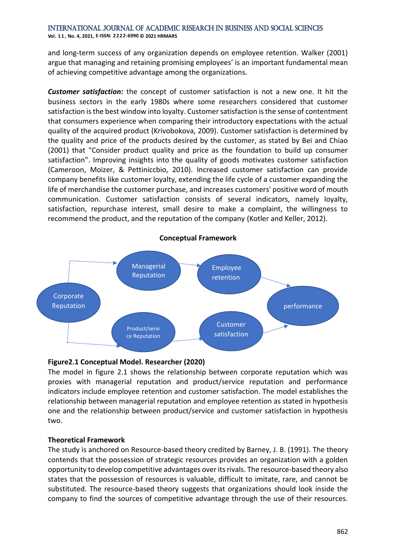International Journal of Academic Research in Business and Social Sciences **Vol. 1 1 , No. 4, 2021, E-ISSN: 2222-6990 © 2021 HRMARS**

and long-term success of any organization depends on employee retention. Walker (2001) argue that managing and retaining promising employees' is an important fundamental mean of achieving competitive advantage among the organizations.

*Customer satisfaction:* the concept of customer satisfaction is not a new one. It hit the business sectors in the early 1980s where some researchers considered that customer satisfaction is the best window into loyalty. Customer satisfaction is the sense of contentment that consumers experience when comparing their introductory expectations with the actual quality of the acquired product (Krivobokova, 2009). Customer satisfaction is determined by the quality and price of the products desired by the customer, as stated by Bei and Chiao (2001) that "Consider product quality and price as the foundation to build up consumer satisfaction". Improving insights into the quality of goods motivates customer satisfaction (Cameroon, Moizer, & Pettiniccbio, 2010). Increased customer satisfaction can provide company benefits like customer loyalty, extending the life cycle of a customer expanding the life of merchandise the customer purchase, and increases customers' positive word of mouth communication. Customer satisfaction consists of several indicators, namely loyalty, satisfaction, repurchase interest, small desire to make a complaint, the willingness to recommend the product, and the reputation of the company (Kotler and Keller, 2012).



## **Figure2.1 Conceptual Model. Researcher (2020)**

The model in figure 2.1 shows the relationship between corporate reputation which was proxies with managerial reputation and product/service reputation and performance indicators include employee retention and customer satisfaction. The model establishes the relationship between managerial reputation and employee retention as stated in hypothesis one and the relationship between product/service and customer satisfaction in hypothesis two.

#### **Theoretical Framework**

The study is anchored on Resource-based theory credited by Barney, J. B. (1991). The theory contends that the possession of strategic resources provides an organization with a golden opportunity to develop competitive advantages over its rivals. The resource-based theory also states that the possession of resources is valuable, difficult to imitate, rare, and cannot be substituted. The resource-based theory suggests that organizations should look inside the company to find the sources of competitive advantage through the use of their resources.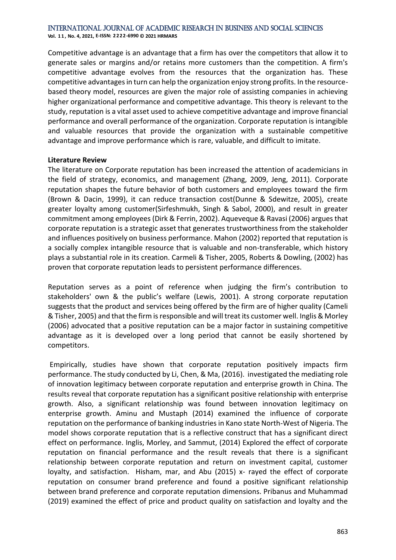**Vol. 1 1 , No. 4, 2021, E-ISSN: 2222-6990 © 2021 HRMARS**

Competitive advantage is an advantage that a firm has over the competitors that allow it to generate sales or margins and/or retains more customers than the competition. A firm's competitive advantage evolves from the resources that the organization has. These competitive advantages in turn can help the organization enjoy strong profits. In the resourcebased theory model, resources are given the major role of assisting companies in achieving higher organizational performance and competitive advantage. This theory is relevant to the study, reputation is a vital asset used to achieve competitive advantage and improve financial performance and overall performance of the organization. Corporate reputation is intangible and valuable resources that provide the organization with a sustainable competitive advantage and improve performance which is rare, valuable, and difficult to imitate.

#### **Literature Review**

The literature on Corporate reputation has been increased the attention of academicians in the field of strategy, economics, and management (Zhang, 2009, Jeng, 2011). Corporate reputation shapes the future behavior of both customers and employees toward the firm (Brown & Dacin, 1999), it can reduce transaction cost(Dunne & Sdewitze, 2005), create greater loyalty among customer(Sirfeshmukh, Singh & Sabol, 2000), and result in greater commitment among employees (Dirk & Ferrin, 2002). Aqueveque & Ravasi (2006) argues that corporate reputation is a strategic asset that generates trustworthiness from the stakeholder and influences positively on business performance. Mahon (2002) reported that reputation is a socially complex intangible resource that is valuable and non-transferable, which history plays a substantial role in its creation. Carmeli & Tisher, 2005, Roberts & Dowling, (2002) has proven that corporate reputation leads to persistent performance differences.

Reputation serves as a point of reference when judging the firm's contribution to stakeholders' own & the public's welfare (Lewis, 2001). A strong corporate reputation suggests that the product and services being offered by the firm are of higher quality (Cameli & Tisher, 2005) and that the firm is responsible and will treat its customer well. Inglis & Morley (2006) advocated that a positive reputation can be a major factor in sustaining competitive advantage as it is developed over a long period that cannot be easily shortened by competitors.

Empirically, studies have shown that corporate reputation positively impacts firm performance. The study conducted by Li, Chen, & Ma, (2016). investigated the mediating role of innovation legitimacy between corporate reputation and enterprise growth in China. The results reveal that corporate reputation has a significant positive relationship with enterprise growth. Also, a significant relationship was found between innovation legitimacy on enterprise growth. Aminu and Mustaph (2014) examined the influence of corporate reputation on the performance of banking industries in Kano state North-West of Nigeria. The model shows corporate reputation that is a reflective construct that has a significant direct effect on performance. Inglis, Morley, and Sammut, (2014) Explored the effect of corporate reputation on financial performance and the result reveals that there is a significant relationship between corporate reputation and return on investment capital, customer loyalty, and satisfaction. Hisham, mar, and Abu (2015) x- rayed the effect of corporate reputation on consumer brand preference and found a positive significant relationship between brand preference and corporate reputation dimensions. Pribanus and Muhammad (2019) examined the effect of price and product quality on satisfaction and loyalty and the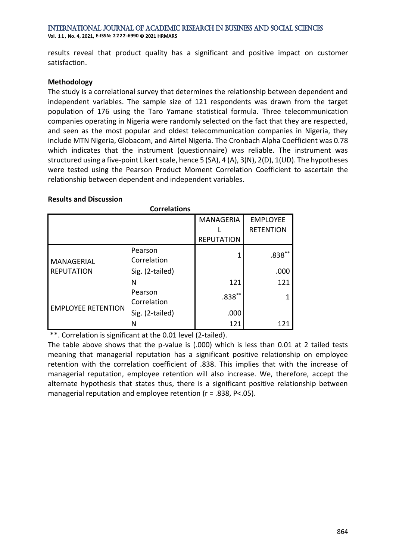International Journal of Academic Research in Business and Social Sciences **Vol. 1 1 , No. 4, 2021, E-ISSN: 2222-6990 © 2021 HRMARS**

results reveal that product quality has a significant and positive impact on customer satisfaction.

#### **Methodology**

The study is a correlational survey that determines the relationship between dependent and independent variables. The sample size of 121 respondents was drawn from the target population of 176 using the Taro Yamane statistical formula. Three telecommunication companies operating in Nigeria were randomly selected on the fact that they are respected, and seen as the most popular and oldest telecommunication companies in Nigeria, they include MTN Nigeria, Globacom, and Airtel Nigeria. The Cronbach Alpha Coefficient was 0.78 which indicates that the instrument (questionnaire) was reliable. The instrument was structured using a five-point Likert scale, hence 5 (SA), 4 (A), 3(N), 2(D), 1(UD). The hypotheses were tested using the Pearson Product Moment Correlation Coefficient to ascertain the relationship between dependent and independent variables.

#### **Results and Discussion**

| <b>Correlations</b>             |                        |                   |                  |  |  |
|---------------------------------|------------------------|-------------------|------------------|--|--|
|                                 |                        | <b>MANAGERIA</b>  | <b>EMPLOYEE</b>  |  |  |
|                                 |                        |                   | <b>RETENTION</b> |  |  |
|                                 |                        | <b>REPUTATION</b> |                  |  |  |
| MANAGERIAL<br><b>REPUTATION</b> | Pearson<br>Correlation | 1                 | $.838***$        |  |  |
|                                 | Sig. (2-tailed)        |                   | .000             |  |  |
|                                 | N                      | 121               | 121              |  |  |
| <b>EMPLOYEE RETENTION</b>       | Pearson<br>Correlation | $.838***$         |                  |  |  |
|                                 | Sig. (2-tailed)        | .000              |                  |  |  |
|                                 | N                      | 121               |                  |  |  |

\*\*. Correlation is significant at the 0.01 level (2-tailed).

The table above shows that the p-value is (.000) which is less than 0.01 at 2 tailed tests meaning that managerial reputation has a significant positive relationship on employee retention with the correlation coefficient of .838. This implies that with the increase of managerial reputation, employee retention will also increase. We, therefore, accept the alternate hypothesis that states thus, there is a significant positive relationship between managerial reputation and employee retention (r = .838, P<.05).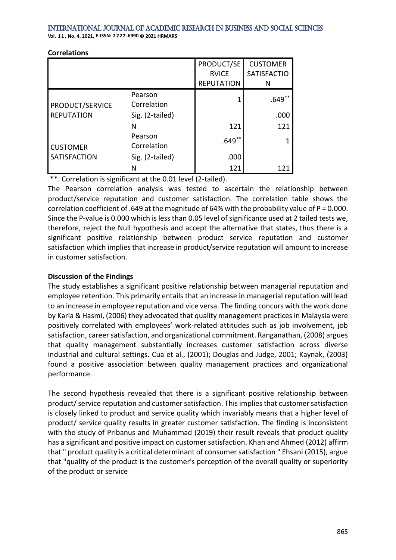**Vol. 1 1 , No. 4, 2021, E-ISSN: 2222-6990 © 2021 HRMARS**

|                                      |                        | PRODUCT/SE<br><b>RVICE</b><br><b>REPUTATION</b> | <b>CUSTOMER</b><br><b>SATISFACTIO</b><br>N |
|--------------------------------------|------------------------|-------------------------------------------------|--------------------------------------------|
| PRODUCT/SERVICE<br><b>REPUTATION</b> | Pearson<br>Correlation |                                                 | $.649**$                                   |
|                                      | Sig. (2-tailed)        |                                                 | .000                                       |
|                                      | N                      | 121                                             | 121                                        |
| <b>CUSTOMER</b>                      | Pearson<br>Correlation | $.649***$                                       | 1                                          |
| <b>SATISFACTION</b>                  | Sig. (2-tailed)        | .000                                            |                                            |
|                                      | N                      | 121                                             | 12                                         |

#### **Correlations**

\*\*. Correlation is significant at the 0.01 level (2-tailed).

The Pearson correlation analysis was tested to ascertain the relationship between product/service reputation and customer satisfaction. The correlation table shows the correlation coefficient of .649 at the magnitude of 64% with the probability value of P = 0.000. Since the P-value is 0.000 which is less than 0.05 level of significance used at 2 tailed tests we, therefore, reject the Null hypothesis and accept the alternative that states, thus there is a significant positive relationship between product service reputation and customer satisfaction which implies that increase in product/service reputation will amount to increase in customer satisfaction.

# **Discussion of the Findings**

The study establishes a significant positive relationship between managerial reputation and employee retention. This primarily entails that an increase in managerial reputation will lead to an increase in employee reputation and vice versa. The finding concurs with the work done by Karia & Hasmi, (2006) they advocated that quality management practices in Malaysia were positively correlated with employees' work-related attitudes such as job involvement, job satisfaction, career satisfaction, and organizational commitment. Ranganathan, (2008) argues that quality management substantially increases customer satisfaction across diverse industrial and cultural settings. Cua et al., (2001); Douglas and Judge, 2001; Kaynak, (2003) found a positive association between quality management practices and organizational performance.

The second hypothesis revealed that there is a significant positive relationship between product/ service reputation and customer satisfaction. This implies that customer satisfaction is closely linked to product and service quality which invariably means that a higher level of product/ service quality results in greater customer satisfaction. The finding is inconsistent with the study of Pribanus and Muhammad (2019) their result reveals that product quality has a significant and positive impact on customer satisfaction. Khan and Ahmed (2012) affirm that " product quality is a critical determinant of consumer satisfaction " Ehsani (2015), argue that "quality of the product is the customer's perception of the overall quality or superiority of the product or service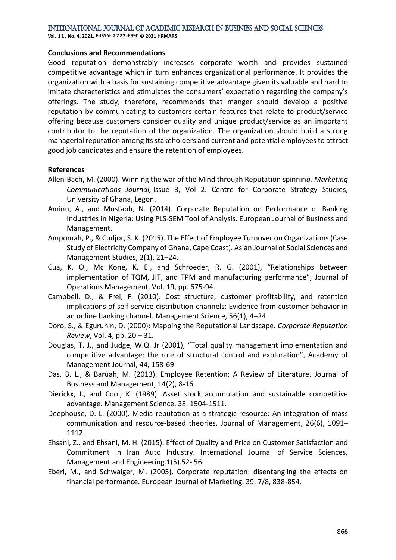**Vol. 1 1 , No. 4, 2021, E-ISSN: 2222-6990 © 2021 HRMARS**

#### **Conclusions and Recommendations**

Good reputation demonstrably increases corporate worth and provides sustained competitive advantage which in turn enhances organizational performance. It provides the organization with a basis for sustaining competitive advantage given its valuable and hard to imitate characteristics and stimulates the consumers' expectation regarding the company's offerings. The study, therefore, recommends that manger should develop a positive reputation by communicating to customers certain features that relate to product/service offering because customers consider quality and unique product/service as an important contributor to the reputation of the organization. The organization should build a strong managerial reputation among its stakeholders and current and potential employees to attract good job candidates and ensure the retention of employees.

#### **References**

- Allen-Bach, M. (2000). Winning the war of the Mind through Reputation spinnin*g. Marketing Communications Journal,* Issue 3, Vol 2. Centre for Corporate Strategy Studies, University of Ghana, Legon.
- Aminu, A., and Mustaph, N. (2014). Corporate Reputation on Performance of Banking Industries in Nigeria: Using PLS-SEM Tool of Analysis. European Journal of Business and Management.
- Ampomah, P., & Cudjor, S. K. (2015). The Effect of Employee Turnover on Organizations (Case Study of Electricity Company of Ghana, Cape Coast). Asian Journal of Social Sciences and Management Studies, 2(1), 21–24.
- Cua, K. O., Mc Kone, K. E., and Schroeder, R. G. (2001), "Relationships between implementation of TQM, JIT, and TPM and manufacturing performance", Journal of Operations Management, Vol. 19, pp. 675-94.
- Campbell, D., & Frei, F. (2010). Cost structure, customer profitability, and retention implications of self-service distribution channels: Evidence from customer behavior in an online banking channel. Management Science, 56(1), 4–24
- Doro, S., & Eguruhin, D. (2000): Mapping the Reputational Landscape. *Corporate Reputation Review*, Vol. 4, pp. 20 – 31.
- Douglas, T. J., and Judge, W.Q. Jr (2001), "Total quality management implementation and competitive advantage: the role of structural control and exploration", Academy of Management Journal, 44, 158-69
- Das, B. L., & Baruah, M. (2013). Employee Retention: A Review of Literature. Journal of Business and Management, 14(2), 8-16.
- Dierickx, I., and Cool, K. (1989). Asset stock accumulation and sustainable competitive advantage. Management Science, 38, 1504-1511.
- Deephouse, D. L. (2000). Media reputation as a strategic resource: An integration of mass communication and resource-based theories. Journal of Management, 26(6), 1091– 1112.
- Ehsani, Z., and Ehsani, M. H. (2015). Effect of Quality and Price on Customer Satisfaction and Commitment in Iran Auto Industry. International Journal of Service Sciences, Management and Engineering.1(5).52- 56.
- Eberl, M., and Schwaiger, M. (2005). Corporate reputation: disentangling the effects on financial performance. European Journal of Marketing, 39, 7/8, 838-854.